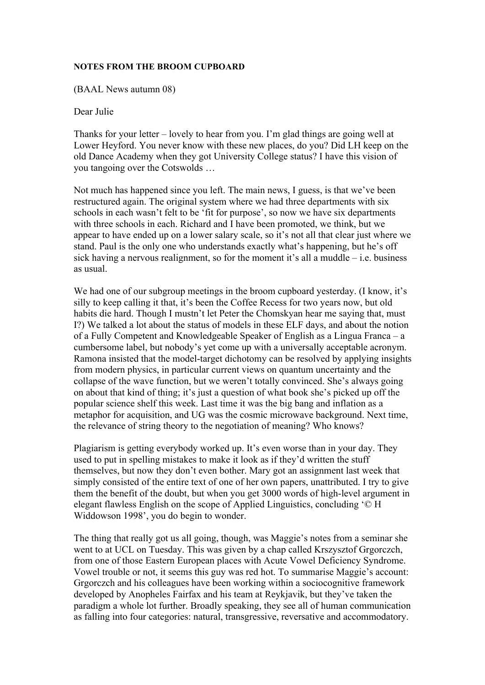## **NOTES FROM THE BROOM CUPBOARD**

(BAAL News autumn 08)

## Dear Julie

Thanks for your letter – lovely to hear from you. I'm glad things are going well at Lower Heyford. You never know with these new places, do you? Did LH keep on the old Dance Academy when they got University College status? I have this vision of you tangoing over the Cotswolds …

Not much has happened since you left. The main news, I guess, is that we've been restructured again. The original system where we had three departments with six schools in each wasn't felt to be 'fit for purpose', so now we have six departments with three schools in each. Richard and I have been promoted, we think, but we appear to have ended up on a lower salary scale, so it's not all that clear just where we stand. Paul is the only one who understands exactly what's happening, but he's off sick having a nervous realignment, so for the moment it's all a muddle  $-$  i.e. business as usual.

We had one of our subgroup meetings in the broom cupboard yesterday. (I know, it's silly to keep calling it that, it's been the Coffee Recess for two years now, but old habits die hard. Though I mustn't let Peter the Chomskyan hear me saying that, must I?) We talked a lot about the status of models in these ELF days, and about the notion of a Fully Competent and Knowledgeable Speaker of English as a Lingua Franca – a cumbersome label, but nobody's yet come up with a universally acceptable acronym. Ramona insisted that the model-target dichotomy can be resolved by applying insights from modern physics, in particular current views on quantum uncertainty and the collapse of the wave function, but we weren't totally convinced. She's always going on about that kind of thing; it's just a question of what book she's picked up off the popular science shelf this week. Last time it was the big bang and inflation as a metaphor for acquisition, and UG was the cosmic microwave background. Next time, the relevance of string theory to the negotiation of meaning? Who knows?

Plagiarism is getting everybody worked up. It's even worse than in your day. They used to put in spelling mistakes to make it look as if they'd written the stuff themselves, but now they don't even bother. Mary got an assignment last week that simply consisted of the entire text of one of her own papers, unattributed. I try to give them the benefit of the doubt, but when you get 3000 words of high-level argument in elegant flawless English on the scope of Applied Linguistics, concluding '© H Widdowson 1998', you do begin to wonder.

The thing that really got us all going, though, was Maggie's notes from a seminar she went to at UCL on Tuesday. This was given by a chap called Krszysztof Grgorczch, from one of those Eastern European places with Acute Vowel Deficiency Syndrome. Vowel trouble or not, it seems this guy was red hot. To summarise Maggie's account: Grgorczch and his colleagues have been working within a sociocognitive framework developed by Anopheles Fairfax and his team at Reykjavik, but they've taken the paradigm a whole lot further. Broadly speaking, they see all of human communication as falling into four categories: natural, transgressive, reversative and accommodatory.